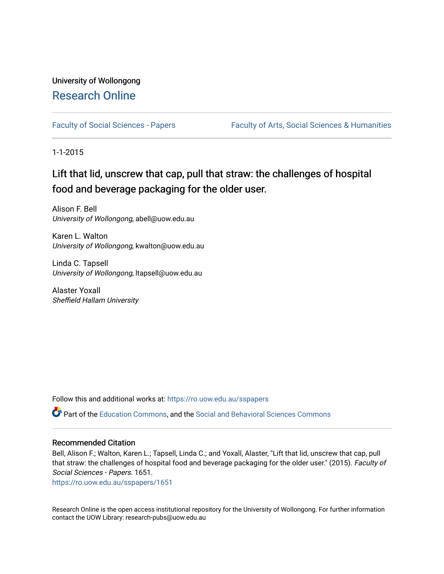## University of Wollongong [Research Online](https://ro.uow.edu.au/)

[Faculty of Social Sciences - Papers](https://ro.uow.edu.au/sspapers) Faculty of Arts, Social Sciences & Humanities

1-1-2015

# Lift that lid, unscrew that cap, pull that straw: the challenges of hospital food and beverage packaging for the older user.

Alison F. Bell University of Wollongong, abell@uow.edu.au

Karen L. Walton University of Wollongong, kwalton@uow.edu.au

Linda C. Tapsell University of Wollongong, ltapsell@uow.edu.au

Alaster Yoxall Sheffield Hallam University

Follow this and additional works at: [https://ro.uow.edu.au/sspapers](https://ro.uow.edu.au/sspapers?utm_source=ro.uow.edu.au%2Fsspapers%2F1651&utm_medium=PDF&utm_campaign=PDFCoverPages) 

Part of the [Education Commons](http://network.bepress.com/hgg/discipline/784?utm_source=ro.uow.edu.au%2Fsspapers%2F1651&utm_medium=PDF&utm_campaign=PDFCoverPages), and the [Social and Behavioral Sciences Commons](http://network.bepress.com/hgg/discipline/316?utm_source=ro.uow.edu.au%2Fsspapers%2F1651&utm_medium=PDF&utm_campaign=PDFCoverPages) 

### Recommended Citation

Bell, Alison F.; Walton, Karen L.; Tapsell, Linda C.; and Yoxall, Alaster, "Lift that lid, unscrew that cap, pull that straw: the challenges of hospital food and beverage packaging for the older user." (2015). Faculty of Social Sciences - Papers. 1651.

[https://ro.uow.edu.au/sspapers/1651](https://ro.uow.edu.au/sspapers/1651?utm_source=ro.uow.edu.au%2Fsspapers%2F1651&utm_medium=PDF&utm_campaign=PDFCoverPages)

Research Online is the open access institutional repository for the University of Wollongong. For further information contact the UOW Library: research-pubs@uow.edu.au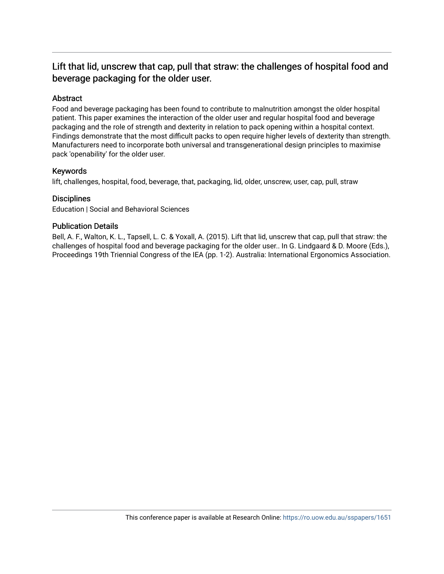## Lift that lid, unscrew that cap, pull that straw: the challenges of hospital food and beverage packaging for the older user.

## Abstract

Food and beverage packaging has been found to contribute to malnutrition amongst the older hospital patient. This paper examines the interaction of the older user and regular hospital food and beverage packaging and the role of strength and dexterity in relation to pack opening within a hospital context. Findings demonstrate that the most difficult packs to open require higher levels of dexterity than strength. Manufacturers need to incorporate both universal and transgenerational design principles to maximise pack 'openability' for the older user.

## Keywords

lift, challenges, hospital, food, beverage, that, packaging, lid, older, unscrew, user, cap, pull, straw

## **Disciplines**

Education | Social and Behavioral Sciences

## Publication Details

Bell, A. F., Walton, K. L., Tapsell, L. C. & Yoxall, A. (2015). Lift that lid, unscrew that cap, pull that straw: the challenges of hospital food and beverage packaging for the older user.. In G. Lindgaard & D. Moore (Eds.), Proceedings 19th Triennial Congress of the IEA (pp. 1-2). Australia: International Ergonomics Association.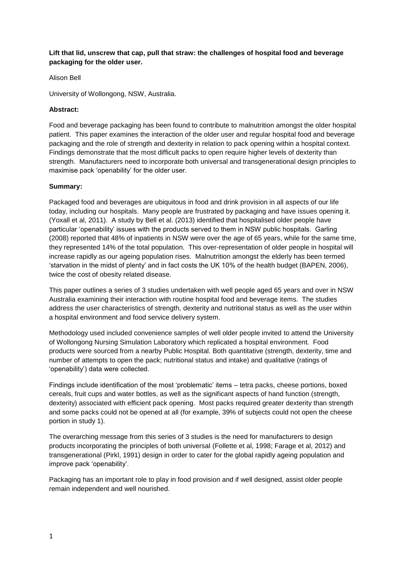**Lift that lid, unscrew that cap, pull that straw: the challenges of hospital food and beverage packaging for the older user.**

#### Alison Bell

University of Wollongong, NSW, Australia.

#### **Abstract:**

Food and beverage packaging has been found to contribute to malnutrition amongst the older hospital patient. This paper examines the interaction of the older user and regular hospital food and beverage packaging and the role of strength and dexterity in relation to pack opening within a hospital context. Findings demonstrate that the most difficult packs to open require higher levels of dexterity than strength. Manufacturers need to incorporate both universal and transgenerational design principles to maximise pack 'openability' for the older user.

#### **Summary:**

Packaged food and beverages are ubiquitous in food and drink provision in all aspects of our life today, including our hospitals. Many people are frustrated by packaging and have issues opening it. (Yoxall et al, 2011). A study by Bell et al. (2013) identified that hospitalised older people have particular 'openability' issues with the products served to them in NSW public hospitals. Garling (2008) reported that 48% of inpatients in NSW were over the age of 65 years, while for the same time, they represented 14% of the total population. This over-representation of older people in hospital will increase rapidly as our ageing population rises. Malnutrition amongst the elderly has been termed 'starvation in the midst of plenty' and in fact costs the UK 10% of the health budget (BAPEN, 2006), twice the cost of obesity related disease.

This paper outlines a series of 3 studies undertaken with well people aged 65 years and over in NSW Australia examining their interaction with routine hospital food and beverage items. The studies address the user characteristics of strength, dexterity and nutritional status as well as the user within a hospital environment and food service delivery system.

Methodology used included convenience samples of well older people invited to attend the University of Wollongong Nursing Simulation Laboratory which replicated a hospital environment. Food products were sourced from a nearby Public Hospital. Both quantitative (strength, dexterity, time and number of attempts to open the pack; nutritional status and intake) and qualitative (ratings of 'openability') data were collected.

Findings include identification of the most 'problematic' items – tetra packs, cheese portions, boxed cereals, fruit cups and water bottles, as well as the significant aspects of hand function (strength, dexterity) associated with efficient pack opening. Most packs required greater dexterity than strength and some packs could not be opened at all (for example, 39% of subjects could not open the cheese portion in study 1).

The overarching message from this series of 3 studies is the need for manufacturers to design products incorporating the principles of both universal (Follette et al, 1998; Farage et al, 2012) and transgenerational (Pirkl, 1991) design in order to cater for the global rapidly ageing population and improve pack 'openability'.

Packaging has an important role to play in food provision and if well designed, assist older people remain independent and well nourished.